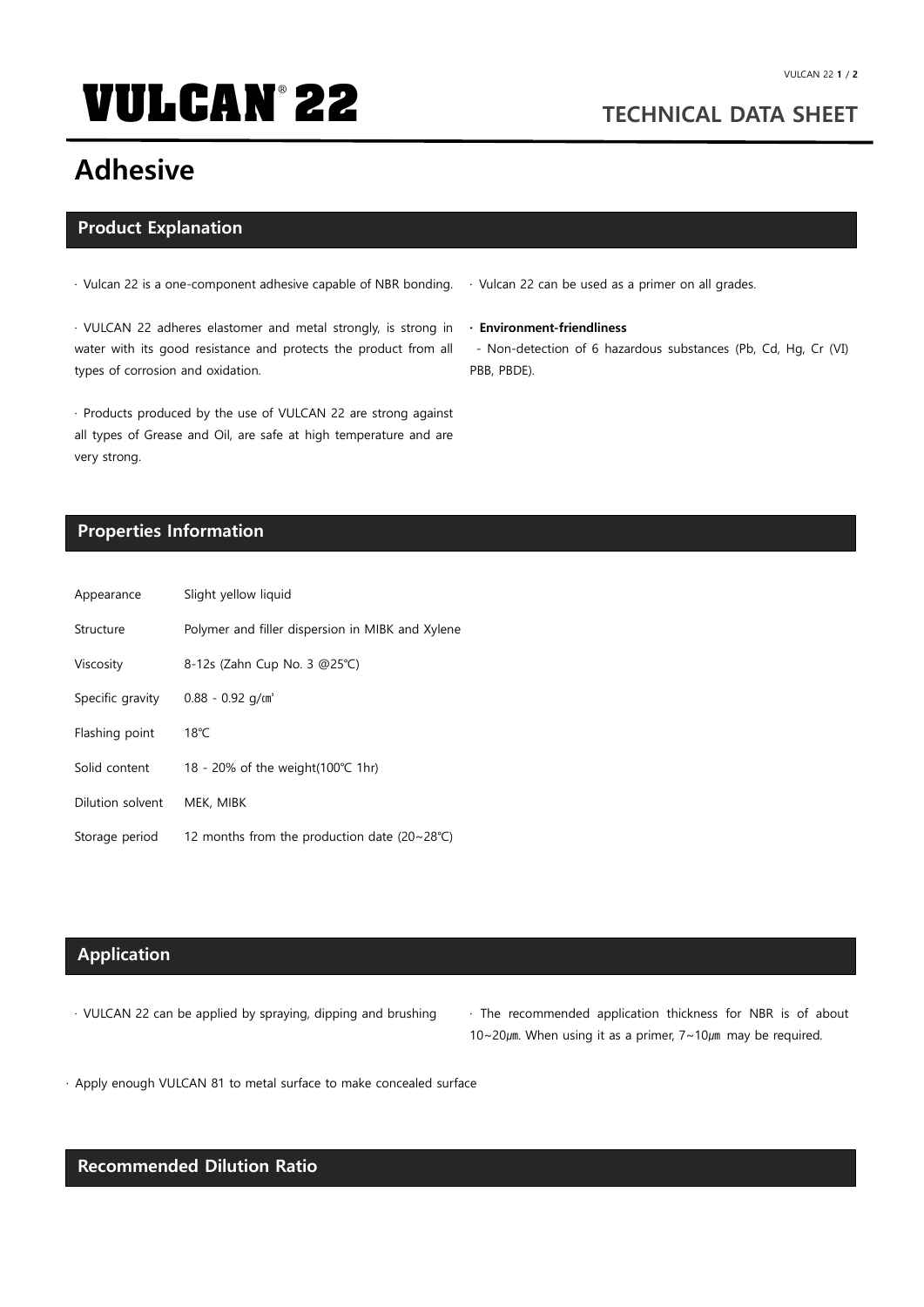# **VULCAN<sup>®</sup> 22** TECHNICAL DATA SHEET

## Adhesive

#### Product Explanation

· Vulcan 22 is a one-component adhesive capable of NBR bonding.

· VULCAN 22 adheres elastomer and metal strongly, is strong in water with its good resistance and protects the product from all types of corrosion and oxidation.

· Products produced by the use of VULCAN 22 are strong against all types of Grease and Oil, are safe at high temperature and are very strong.

### Properties Information

| Appearance       | Slight yellow liquid                                         |
|------------------|--------------------------------------------------------------|
| Structure        | Polymer and filler dispersion in MIBK and Xylene             |
| Viscosity        | 8-12s (Zahn Cup No. 3 @25°C)                                 |
| Specific gravity | $0.88 - 0.92$ g/m <sup>3</sup>                               |
| Flashing point   | $18^{\circ}$ C                                               |
| Solid content    | 18 - 20% of the weight $(100^{\circ}C)$ 1hr)                 |
| Dilution solvent | MEK, MIBK                                                    |
| Storage period   | 12 months from the production date $(20~28^{\circ}\text{C})$ |

### Application

- 
- · VULCAN 22 can be applied by spraying, dipping and brushing · The recommended application thickness for NBR is of about  $10~20$  $\mu$ m. When using it as a primer,  $7~10\mu$ m may be required.

· Apply enough VULCAN 81 to metal surface to make concealed surface

### Recommended Dilution Ratio

· Vulcan 22 can be used as a primer on all grades.

· Environment-friendliness

- Non-detection of 6 hazardous substances (Pb, Cd, Hg, Cr (Ⅵ) PBB, PBDE).